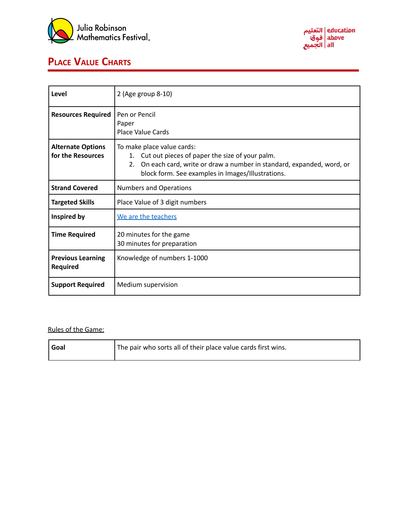



## **PLACE VALUE CHARTS**

| Level                                         | 2 (Age group 8-10)                                                                                                                                                                                                 |  |
|-----------------------------------------------|--------------------------------------------------------------------------------------------------------------------------------------------------------------------------------------------------------------------|--|
| <b>Resources Required</b>                     | Pen or Pencil<br>Paper<br>Place Value Cards                                                                                                                                                                        |  |
| <b>Alternate Options</b><br>for the Resources | To make place value cards:<br>1. Cut out pieces of paper the size of your palm.<br>On each card, write or draw a number in standard, expanded, word, or<br>2.<br>block form. See examples in Images/Illustrations. |  |
| <b>Strand Covered</b>                         | <b>Numbers and Operations</b>                                                                                                                                                                                      |  |
| <b>Targeted Skills</b>                        | Place Value of 3 digit numbers                                                                                                                                                                                     |  |
| Inspired by                                   | We are the teachers                                                                                                                                                                                                |  |
| <b>Time Required</b>                          | 20 minutes for the game<br>30 minutes for preparation                                                                                                                                                              |  |
| <b>Previous Learning</b><br><b>Required</b>   | Knowledge of numbers 1-1000                                                                                                                                                                                        |  |
| <b>Support Required</b>                       | Medium supervision                                                                                                                                                                                                 |  |

## Rules of the Game:

| Goal | The pair who sorts all of their place value cards first wins. |
|------|---------------------------------------------------------------|
|      |                                                               |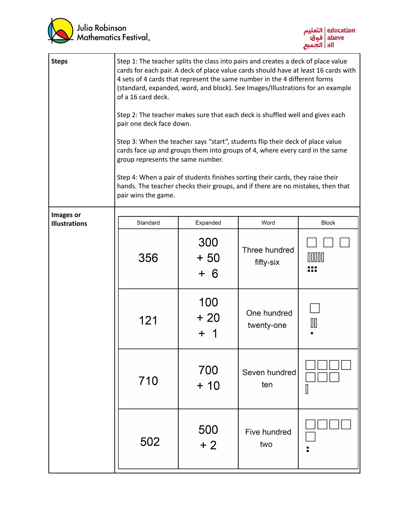



| <b>Steps</b>                      | Step 1: The teacher splits the class into pairs and creates a deck of place value<br>cards for each pair. A deck of place value cards should have at least 16 cards with<br>4 sets of 4 cards that represent the same number in the 4 different forms<br>(standard, expanded, word, and block). See Images/Illustrations for an example<br>of a 16 card deck.<br>Step 2: The teacher makes sure that each deck is shuffled well and gives each<br>pair one deck face down.<br>Step 3: When the teacher says "start", students flip their deck of place value<br>cards face up and groups them into groups of 4, where every card in the same<br>group represents the same number.<br>Step 4: When a pair of students finishes sorting their cards, they raise their<br>hands. The teacher checks their groups, and if there are no mistakes, then that<br>pair wins the game. |                     |                            |       |
|-----------------------------------|-------------------------------------------------------------------------------------------------------------------------------------------------------------------------------------------------------------------------------------------------------------------------------------------------------------------------------------------------------------------------------------------------------------------------------------------------------------------------------------------------------------------------------------------------------------------------------------------------------------------------------------------------------------------------------------------------------------------------------------------------------------------------------------------------------------------------------------------------------------------------------|---------------------|----------------------------|-------|
| Images or<br><b>Illustrations</b> | Standard                                                                                                                                                                                                                                                                                                                                                                                                                                                                                                                                                                                                                                                                                                                                                                                                                                                                      | Expanded            | Word                       | Block |
|                                   | 356                                                                                                                                                                                                                                                                                                                                                                                                                                                                                                                                                                                                                                                                                                                                                                                                                                                                           | 300<br>$+50$<br>+ 6 | Three hundred<br>fifty-six |       |
|                                   | 121                                                                                                                                                                                                                                                                                                                                                                                                                                                                                                                                                                                                                                                                                                                                                                                                                                                                           | 100<br>$+20$<br>┿   | One hundred<br>twenty-one  | ℿ     |
|                                   | 710                                                                                                                                                                                                                                                                                                                                                                                                                                                                                                                                                                                                                                                                                                                                                                                                                                                                           | 700<br>$+10$        | Seven hundred<br>ten       |       |
|                                   | 502                                                                                                                                                                                                                                                                                                                                                                                                                                                                                                                                                                                                                                                                                                                                                                                                                                                                           | 500<br>$+2$         | Five hundred<br>two        |       |